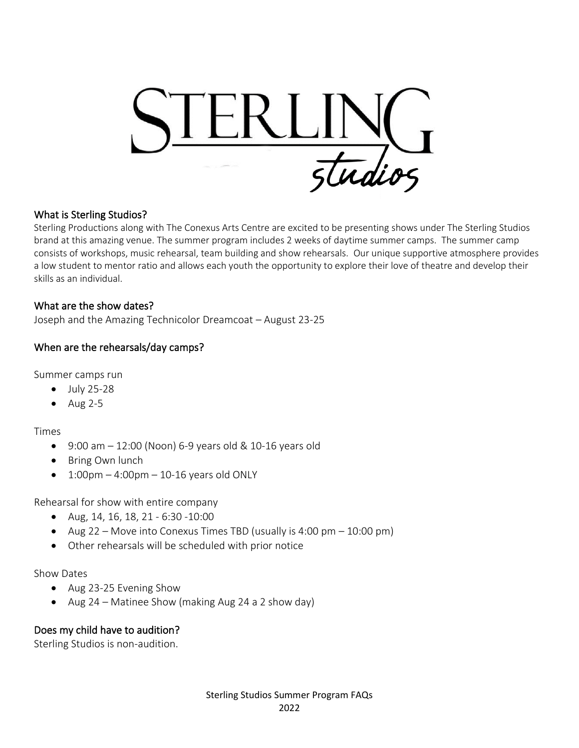

#### What is Sterling Studios?

Sterling Productions along with The Conexus Arts Centre are excited to be presenting shows under The Sterling Studios brand at this amazing venue. The summer program includes 2 weeks of daytime summer camps. The summer camp consists of workshops, music rehearsal, team building and show rehearsals. Our unique supportive atmosphere provides a low student to mentor ratio and allows each youth the opportunity to explore their love of theatre and develop their skills as an individual.

#### What are the show dates?

Joseph and the Amazing Technicolor Dreamcoat – August 23-25

#### When are the rehearsals/day camps?

Summer camps run

- July 25-28
- Aug 2-5

Times

- $9:00$  am  $-12:00$  (Noon) 6-9 years old & 10-16 years old
- Bring Own lunch
- $\bullet$  1:00pm 4:00pm 10-16 years old ONLY

Rehearsal for show with entire company

- Aug, 14, 16, 18, 21 6:30 -10:00
- Aug 22 Move into Conexus Times TBD (usually is 4:00 pm 10:00 pm)
- Other rehearsals will be scheduled with prior notice

#### Show Dates

- Aug 23-25 Evening Show
- Aug 24 Matinee Show (making Aug 24 a 2 show day)

#### Does my child have to audition?

Sterling Studios is non-audition.